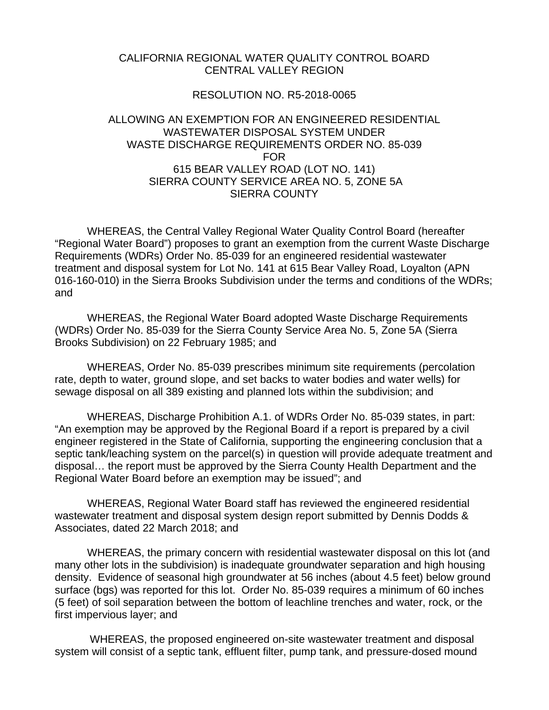## CALIFORNIA REGIONAL WATER QUALITY CONTROL BOARD CENTRAL VALLEY REGION

## RESOLUTION NO. R5-2018-0065

## ALLOWING AN EXEMPTION FOR AN ENGINEERED RESIDENTIAL WASTEWATER DISPOSAL SYSTEM UNDER WASTE DISCHARGE REQUIREMENTS ORDER NO. 85-039 FOR 615 BEAR VALLEY ROAD (LOT NO. 141) SIERRA COUNTY SERVICE AREA NO. 5, ZONE 5A SIERRA COUNTY

WHEREAS, the Central Valley Regional Water Quality Control Board (hereafter "Regional Water Board") proposes to grant an exemption from the current Waste Discharge Requirements (WDRs) Order No. 85-039 for an engineered residential wastewater treatment and disposal system for Lot No. 141 at 615 Bear Valley Road, Loyalton (APN 016-160-010) in the Sierra Brooks Subdivision under the terms and conditions of the WDRs; and

WHEREAS, the Regional Water Board adopted Waste Discharge Requirements (WDRs) Order No. 85-039 for the Sierra County Service Area No. 5, Zone 5A (Sierra Brooks Subdivision) on 22 February 1985; and

WHEREAS, Order No. 85-039 prescribes minimum site requirements (percolation rate, depth to water, ground slope, and set backs to water bodies and water wells) for sewage disposal on all 389 existing and planned lots within the subdivision; and

WHEREAS, Discharge Prohibition A.1. of WDRs Order No. 85-039 states, in part: "An exemption may be approved by the Regional Board if a report is prepared by a civil engineer registered in the State of California, supporting the engineering conclusion that a septic tank/leaching system on the parcel(s) in question will provide adequate treatment and disposal… the report must be approved by the Sierra County Health Department and the Regional Water Board before an exemption may be issued"; and

WHEREAS, Regional Water Board staff has reviewed the engineered residential wastewater treatment and disposal system design report submitted by Dennis Dodds & Associates, dated 22 March 2018; and

WHEREAS, the primary concern with residential wastewater disposal on this lot (and many other lots in the subdivision) is inadequate groundwater separation and high housing density. Evidence of seasonal high groundwater at 56 inches (about 4.5 feet) below ground surface (bgs) was reported for this lot. Order No. 85-039 requires a minimum of 60 inches (5 feet) of soil separation between the bottom of leachline trenches and water, rock, or the first impervious layer; and

WHEREAS, the proposed engineered on-site wastewater treatment and disposal system will consist of a septic tank, effluent filter, pump tank, and pressure-dosed mound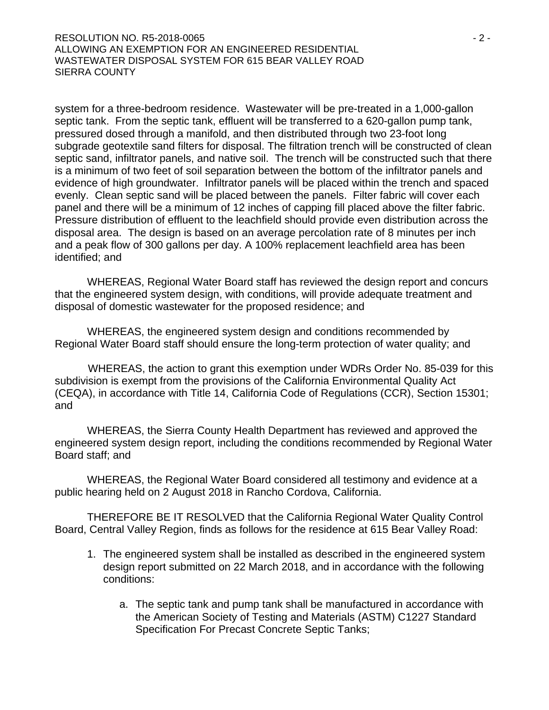## RESOLUTION NO. R5-2018-0065 - 2 - ALLOWING AN EXEMPTION FOR AN ENGINEERED RESIDENTIAL WASTEWATER DISPOSAL SYSTEM FOR 615 BEAR VALLEY ROAD SIERRA COUNTY

system for a three-bedroom residence. Wastewater will be pre-treated in a 1,000-gallon septic tank. From the septic tank, effluent will be transferred to a 620-gallon pump tank, pressured dosed through a manifold, and then distributed through two 23-foot long subgrade geotextile sand filters for disposal. The filtration trench will be constructed of clean septic sand, infiltrator panels, and native soil. The trench will be constructed such that there is a minimum of two feet of soil separation between the bottom of the infiltrator panels and evidence of high groundwater. Infiltrator panels will be placed within the trench and spaced evenly. Clean septic sand will be placed between the panels. Filter fabric will cover each panel and there will be a minimum of 12 inches of capping fill placed above the filter fabric. Pressure distribution of effluent to the leachfield should provide even distribution across the disposal area. The design is based on an average percolation rate of 8 minutes per inch and a peak flow of 300 gallons per day. A 100% replacement leachfield area has been identified; and

WHEREAS, Regional Water Board staff has reviewed the design report and concurs that the engineered system design, with conditions, will provide adequate treatment and disposal of domestic wastewater for the proposed residence; and

WHEREAS, the engineered system design and conditions recommended by Regional Water Board staff should ensure the long-term protection of water quality; and

 WHEREAS, the action to grant this exemption under WDRs Order No. 85-039 for this subdivision is exempt from the provisions of the California Environmental Quality Act (CEQA), in accordance with Title 14, California Code of Regulations (CCR), Section 15301; and

WHEREAS, the Sierra County Health Department has reviewed and approved the engineered system design report, including the conditions recommended by Regional Water Board staff; and

WHEREAS, the Regional Water Board considered all testimony and evidence at a public hearing held on 2 August 2018 in Rancho Cordova, California.

THEREFORE BE IT RESOLVED that the California Regional Water Quality Control Board, Central Valley Region, finds as follows for the residence at 615 Bear Valley Road:

- 1. The engineered system shall be installed as described in the engineered system design report submitted on 22 March 2018, and in accordance with the following conditions:
	- a. The septic tank and pump tank shall be manufactured in accordance with the American Society of Testing and Materials (ASTM) C1227 Standard Specification For Precast Concrete Septic Tanks;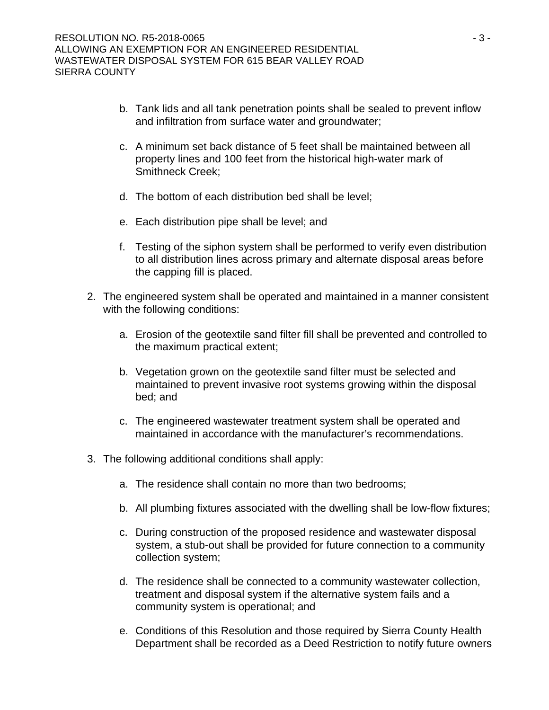- b. Tank lids and all tank penetration points shall be sealed to prevent inflow and infiltration from surface water and groundwater;
- c. A minimum set back distance of 5 feet shall be maintained between all property lines and 100 feet from the historical high-water mark of Smithneck Creek;
- d. The bottom of each distribution bed shall be level;
- e. Each distribution pipe shall be level; and
- f. Testing of the siphon system shall be performed to verify even distribution to all distribution lines across primary and alternate disposal areas before the capping fill is placed.
- 2. The engineered system shall be operated and maintained in a manner consistent with the following conditions:
	- a. Erosion of the geotextile sand filter fill shall be prevented and controlled to the maximum practical extent;
	- b. Vegetation grown on the geotextile sand filter must be selected and maintained to prevent invasive root systems growing within the disposal bed; and
	- c. The engineered wastewater treatment system shall be operated and maintained in accordance with the manufacturer's recommendations.
- 3. The following additional conditions shall apply:
	- a. The residence shall contain no more than two bedrooms;
	- b. All plumbing fixtures associated with the dwelling shall be low-flow fixtures;
	- c. During construction of the proposed residence and wastewater disposal system, a stub-out shall be provided for future connection to a community collection system;
	- d. The residence shall be connected to a community wastewater collection, treatment and disposal system if the alternative system fails and a community system is operational; and
	- e. Conditions of this Resolution and those required by Sierra County Health Department shall be recorded as a Deed Restriction to notify future owners